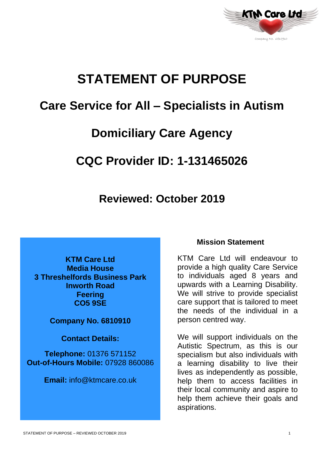

# **STATEMENT OF PURPOSE**

# **Care Service for All – Specialists in Autism**

# **Domiciliary Care Agency**

# **CQC Provider ID: 1-131465026**

# **Reviewed: October 2019**

**KTM Care Ltd Media House 3 Threshelfords Business Park Inworth Road Feering CO5 9SE**

**Company No. 6810910**

**Contact Details:**

**Telephone:** 01376 571152 **Out-of-Hours Mobile:** 07928 860086

**Email:** info@ktmcare.co.uk

### **Mission Statement**

KTM Care Ltd will endeavour to provide a high quality Care Service to individuals aged 8 years and upwards with a Learning Disability. We will strive to provide specialist care support that is tailored to meet the needs of the individual in a person centred way.

We will support individuals on the Autistic Spectrum, as this is our specialism but also individuals with a learning disability to live their lives as independently as possible, help them to access facilities in their local community and aspire to help them achieve their goals and aspirations.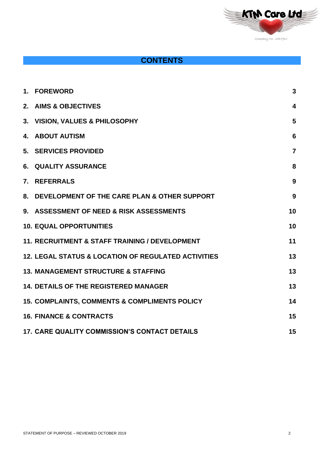

# **CONTENTS**

|    | 1. FOREWORD                                                    | $\mathbf{3}$            |
|----|----------------------------------------------------------------|-------------------------|
|    | 2. AIMS & OBJECTIVES                                           | $\overline{\mathbf{4}}$ |
|    | 3. VISION, VALUES & PHILOSOPHY                                 | 5                       |
| 4. | <b>ABOUT AUTISM</b>                                            | $6\phantom{1}6$         |
|    | 5. SERVICES PROVIDED                                           | $\overline{7}$          |
| 6. | <b>QUALITY ASSURANCE</b>                                       | 8                       |
|    | 7. REFERRALS                                                   | 9                       |
|    | 8. DEVELOPMENT OF THE CARE PLAN & OTHER SUPPORT                | 9                       |
|    | 9. ASSESSMENT OF NEED & RISK ASSESSMENTS                       | 10                      |
|    | <b>10. EQUAL OPPORTUNITIES</b>                                 | 10                      |
|    | <b>11. RECRUITMENT &amp; STAFF TRAINING / DEVELOPMENT</b>      | 11                      |
|    | <b>12. LEGAL STATUS &amp; LOCATION OF REGULATED ACTIVITIES</b> | 13                      |
|    | <b>13. MANAGEMENT STRUCTURE &amp; STAFFING</b>                 | 13                      |
|    | <b>14. DETAILS OF THE REGISTERED MANAGER</b>                   | 13                      |
|    | <b>15. COMPLAINTS, COMMENTS &amp; COMPLIMENTS POLICY</b>       | 14                      |
|    | <b>16. FINANCE &amp; CONTRACTS</b>                             | 15                      |
|    | <b>17. CARE QUALITY COMMISSION'S CONTACT DETAILS</b>           | 15                      |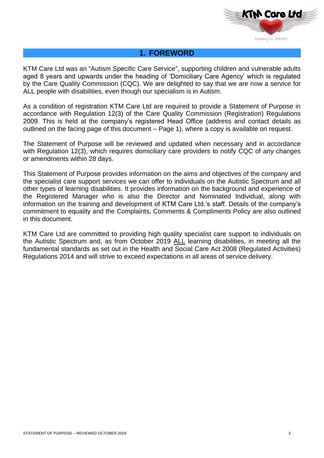

### **1. FOREWORD**

KTM Care Ltd was an "Autism Specific Care Service", supporting children and vulnerable adults aged 8 years and upwards under the heading of 'Domiciliary Care Agency' which is regulated by the Care Quality Commission (CQC). We are delighted to say that we are now a service for ALL people with disabilities, even though our specialism is in Autism.

As a condition of registration KTM Care Ltd are required to provide a Statement of Purpose in accordance with Regulation 12(3) of the Care Quality Commission (Registration) Regulations 2009. This is held at the company's registered Head Office (address and contact details as outlined on the facing page of this document – Page 1), where a copy is available on request.

The Statement of Purpose will be reviewed and updated when necessary and in accordance with Regulation 12(3), which requires domiciliary care providers to notify CQC of any changes or amendments within 28 days.

This Statement of Purpose provides information on the aims and objectives of the company and the specialist care support services we can offer to individuals on the Autistic Spectrum and all other types of learning disabilities. It provides information on the background and experience of the Registered Manager who is also the Director and Nominated Individual, along with information on the training and development of KTM Care Ltd.'s staff. Details of the company's commitment to equality and the Complaints, Comments & Compliments Policy are also outlined in this document.

KTM Care Ltd are committed to providing high quality specialist care support to individuals on the Autistic Spectrum and, as from October 2019 ALL learning disabilities, in meeting all the fundamental standards as set out in the Health and Social Care Act 2008 (Regulated Activities) Regulations 2014 and will strive to exceed expectations in all areas of service delivery.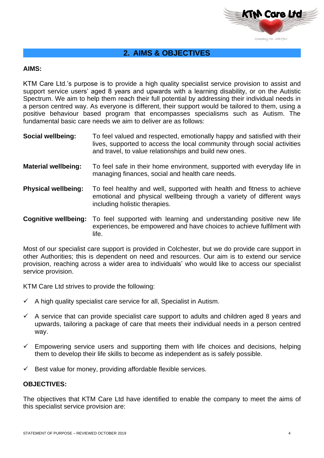

# **2. AIMS & OBJECTIVES**

#### **AIMS:**

KTM Care Ltd.'s purpose is to provide a high quality specialist service provision to assist and support service users' aged 8 years and upwards with a learning disability, or on the Autistic Spectrum. We aim to help them reach their full potential by addressing their individual needs in a person centred way. As everyone is different, their support would be tailored to them, using a positive behaviour based program that encompasses specialisms such as Autism. The fundamental basic care needs we aim to deliver are as follows:

- **Social wellbeing:** To feel valued and respected, emotionally happy and satisfied with their lives, supported to access the local community through social activities and travel, to value relationships and build new ones.
- **Material wellbeing:** To feel safe in their home environment, supported with everyday life in managing finances, social and health care needs.
- **Physical wellbeing:** To feel healthy and well, supported with health and fitness to achieve emotional and physical wellbeing through a variety of different ways including holistic therapies.

**Cognitive wellbeing:** To feel supported with learning and understanding positive new life experiences, be empowered and have choices to achieve fulfilment with life.

Most of our specialist care support is provided in Colchester, but we do provide care support in other Authorities; this is dependent on need and resources. Our aim is to extend our service provision, reaching across a wider area to individuals' who would like to access our specialist service provision.

KTM Care Ltd strives to provide the following:

- $\checkmark$  A high quality specialist care service for all, Specialist in Autism.
- $\checkmark$  A service that can provide specialist care support to adults and children aged 8 years and upwards, tailoring a package of care that meets their individual needs in a person centred way.
- $\checkmark$  Empowering service users and supporting them with life choices and decisions, helping them to develop their life skills to become as independent as is safely possible.
- $\checkmark$  Best value for money, providing affordable flexible services.

#### **OBJECTIVES:**

The objectives that KTM Care Ltd have identified to enable the company to meet the aims of this specialist service provision are: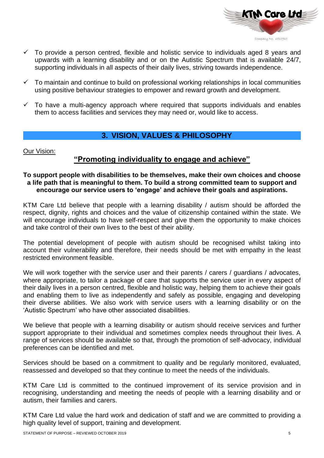

- $\checkmark$  To provide a person centred, flexible and holistic service to individuals aged 8 years and upwards with a learning disability and or on the Autistic Spectrum that is available 24/7, supporting individuals in all aspects of their daily lives, striving towards independence.
- $\checkmark$  To maintain and continue to build on professional working relationships in local communities using positive behaviour strategies to empower and reward growth and development.
- $\checkmark$  To have a multi-agency approach where required that supports individuals and enables them to access facilities and services they may need or, would like to access.

# **3. VISION, VALUES & PHILOSOPHY**

Our Vision:

### **"Promoting individuality to engage and achieve"**

#### **To support people with disabilities to be themselves, make their own choices and choose a life path that is meaningful to them. To build a strong committed team to support and encourage our service users to 'engage' and achieve their goals and aspirations.**

KTM Care Ltd believe that people with a learning disability / autism should be afforded the respect, dignity, rights and choices and the value of citizenship contained within the state. We will encourage individuals to have self-respect and give them the opportunity to make choices and take control of their own lives to the best of their ability.

The potential development of people with autism should be recognised whilst taking into account their vulnerability and therefore, their needs should be met with empathy in the least restricted environment feasible.

We will work together with the service user and their parents / carers / guardians / advocates, where appropriate, to tailor a package of care that supports the service user in every aspect of their daily lives in a person centred, flexible and holistic way, helping them to achieve their goals and enabling them to live as independently and safely as possible, engaging and developing their diverse abilities. We also work with service users with a learning disability or on the 'Autistic Spectrum' who have other associated disabilities.

We believe that people with a learning disability or autism should receive services and further support appropriate to their individual and sometimes complex needs throughout their lives. A range of services should be available so that, through the promotion of self-advocacy, individual preferences can be identified and met.

Services should be based on a commitment to quality and be regularly monitored, evaluated, reassessed and developed so that they continue to meet the needs of the individuals.

KTM Care Ltd is committed to the continued improvement of its service provision and in recognising, understanding and meeting the needs of people with a learning disability and or autism, their families and carers.

KTM Care Ltd value the hard work and dedication of staff and we are committed to providing a high quality level of support, training and development.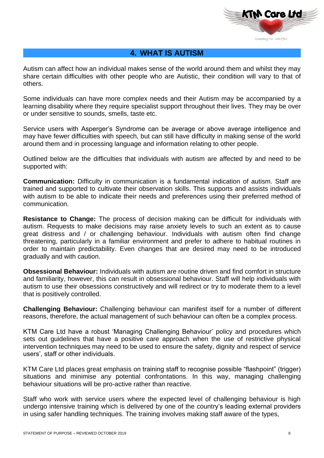

### **4. WHAT IS AUTISM**

Autism can affect how an individual makes sense of the world around them and whilst they may share certain difficulties with other people who are Autistic, their condition will vary to that of others.

Some individuals can have more complex needs and their Autism may be accompanied by a learning disability where they require specialist support throughout their lives. They may be over or under sensitive to sounds, smells, taste etc.

Service users with Asperger's Syndrome can be average or above average intelligence and may have fewer difficulties with speech, but can still have difficulty in making sense of the world around them and in processing language and information relating to other people.

Outlined below are the difficulties that individuals with autism are affected by and need to be supported with:

**Communication:** Difficulty in communication is a fundamental indication of autism. Staff are trained and supported to cultivate their observation skills. This supports and assists individuals with autism to be able to indicate their needs and preferences using their preferred method of communication.

**Resistance to Change:** The process of decision making can be difficult for individuals with autism. Requests to make decisions may raise anxiety levels to such an extent as to cause great distress and / or challenging behaviour. Individuals with autism often find change threatening, particularly in a familiar environment and prefer to adhere to habitual routines in order to maintain predictability. Even changes that are desired may need to be introduced gradually and with caution.

**Obsessional Behaviour:** Individuals with autism are routine driven and find comfort in structure and familiarity, however, this can result in obsessional behaviour. Staff will help individuals with autism to use their obsessions constructively and will redirect or try to moderate them to a level that is positively controlled.

**Challenging Behaviour:** Challenging behaviour can manifest itself for a number of different reasons, therefore, the actual management of such behaviour can often be a complex process.

KTM Care Ltd have a robust 'Managing Challenging Behaviour' policy and procedures which sets out guidelines that have a positive care approach when the use of restrictive physical intervention techniques may need to be used to ensure the safety, dignity and respect of service users', staff or other individuals.

KTM Care Ltd places great emphasis on training staff to recognise possible "flashpoint" (trigger) situations and minimise any potential confrontations. In this way, managing challenging behaviour situations will be pro-active rather than reactive.

Staff who work with service users where the expected level of challenging behaviour is high undergo intensive training which is delivered by one of the country's leading external providers in using safer handling techniques. The training involves making staff aware of the types,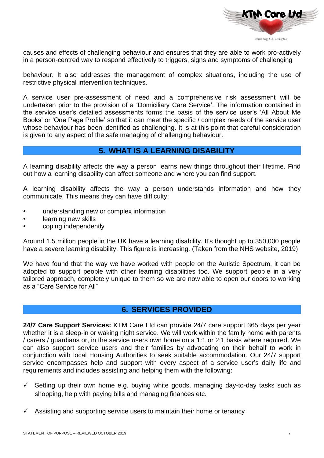

causes and effects of challenging behaviour and ensures that they are able to work pro-actively in a person-centred way to respond effectively to triggers, signs and symptoms of challenging

behaviour. It also addresses the management of complex situations, including the use of restrictive physical intervention techniques.

A service user pre-assessment of need and a comprehensive risk assessment will be undertaken prior to the provision of a 'Domiciliary Care Service'. The information contained in the service user's detailed assessments forms the basis of the service user's 'All About Me Books' or 'One Page Profile' so that it can meet the specific / complex needs of the service user whose behaviour has been identified as challenging. It is at this point that careful consideration is given to any aspect of the safe managing of challenging behaviour.

#### **5. WHAT IS A LEARNING DISABILITY**

A learning disability affects the way a person learns new things throughout their lifetime. Find out how a learning disability can affect someone and where you can find support.

A learning disability affects the way a person understands information and how they communicate. This means they can have difficulty:

- understanding new or complex information
- learning new skills
- coping independently

Around 1.5 million people in the UK have a learning disability. It's thought up to 350,000 people have a severe learning disability. This figure is increasing. (Taken from the NHS website, 2019)

We have found that the way we have worked with people on the Autistic Spectrum, it can be adopted to support people with other learning disabilities too. We support people in a very tailored approach, completely unique to them so we are now able to open our doors to working as a "Care Service for All"

### **6. SERVICES PROVIDED**

**24/7 Care Support Services:** KTM Care Ltd can provide 24/7 care support 365 days per year whether it is a sleep-in or waking night service. We will work within the family home with parents / carers / guardians or, in the service users own home on a 1:1 or 2:1 basis where required. We can also support service users and their families by advocating on their behalf to work in conjunction with local Housing Authorities to seek suitable accommodation. Our 24/7 support service encompasses help and support with every aspect of a service user's daily life and requirements and includes assisting and helping them with the following:

- Setting up their own home e.g. buying white goods, managing day-to-day tasks such as shopping, help with paying bills and managing finances etc.
- Assisting and supporting service users to maintain their home or tenancy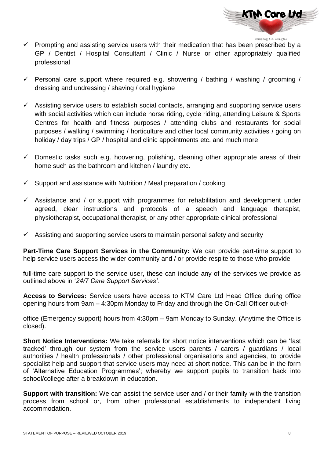

- $\checkmark$  Prompting and assisting service users with their medication that has been prescribed by a GP / Dentist / Hospital Consultant / Clinic / Nurse or other appropriately qualified professional
- $\checkmark$  Personal care support where required e.g. showering / bathing / washing / grooming / dressing and undressing / shaving / oral hygiene
- $\checkmark$  Assisting service users to establish social contacts, arranging and supporting service users with social activities which can include horse riding, cycle riding, attending Leisure & Sports Centres for health and fitness purposes / attending clubs and restaurants for social purposes / walking / swimming / horticulture and other local community activities / going on holiday / day trips / GP / hospital and clinic appointments etc. and much more
- $\checkmark$  Domestic tasks such e.g. hoovering, polishing, cleaning other appropriate areas of their home such as the bathroom and kitchen / laundry etc.
- $\checkmark$  Support and assistance with Nutrition / Meal preparation / cooking
- $\checkmark$  Assistance and / or support with programmes for rehabilitation and development under agreed, clear instructions and protocols of a speech and language therapist, physiotherapist, occupational therapist, or any other appropriate clinical professional
- $\checkmark$  Assisting and supporting service users to maintain personal safety and security

**Part-Time Care Support Services in the Community:** We can provide part-time support to help service users access the wider community and / or provide respite to those who provide

full-time care support to the service user, these can include any of the services we provide as outlined above in '*24/7 Care Support Services'.*

**Access to Services:** Service users have access to KTM Care Ltd Head Office during office opening hours from 9am – 4:30pm Monday to Friday and through the On-Call Officer out-of-

office (Emergency support) hours from 4:30pm – 9am Monday to Sunday. (Anytime the Office is closed).

**Short Notice Interventions:** We take referrals for short notice interventions which can be 'fast tracked' through our system from the service users parents / carers / guardians / local authorities / health professionals / other professional organisations and agencies, to provide specialist help and support that service users may need at short notice. This can be in the form of 'Alternative Education Programmes'; whereby we support pupils to transition back into school/college after a breakdown in education.

**Support with transition:** We can assist the service user and / or their family with the transition process from school or, from other professional establishments to independent living accommodation.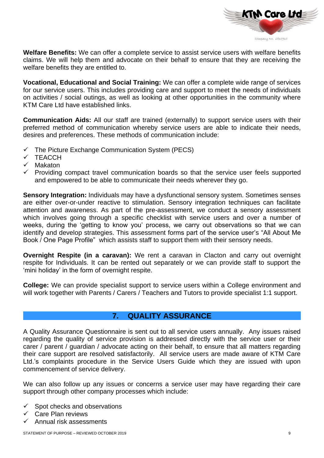

**Welfare Benefits:** We can offer a complete service to assist service users with welfare benefits claims. We will help them and advocate on their behalf to ensure that they are receiving the welfare benefits they are entitled to.

**Vocational, Educational and Social Training:** We can offer a complete wide range of services for our service users. This includes providing care and support to meet the needs of individuals on activities / social outings, as well as looking at other opportunities in the community where KTM Care Ltd have established links.

**Communication Aids:** All our staff are trained (externally) to support service users with their preferred method of communication whereby service users are able to indicate their needs, desires and preferences. These methods of communication include:

- $\checkmark$  The Picture Exchange Communication System (PECS)
- ✓ TEACCH
- ✓ Makaton
- ✓ Providing compact travel communication boards so that the service user feels supported and empowered to be able to communicate their needs wherever they go.

**Sensory Integration:** Individuals may have a dysfunctional sensory system. Sometimes senses are either over-or-under reactive to stimulation. Sensory integration techniques can facilitate attention and awareness. As part of the pre-assessment, we conduct a sensory assessment which involves going through a specific checklist with service users and over a number of weeks, during the 'getting to know you' process, we carry out observations so that we can identify and develop strategies. This assessment forms part of the service user's "All About Me Book / One Page Profile" which assists staff to support them with their sensory needs.

**Overnight Respite (in a caravan):** We rent a caravan in Clacton and carry out overnight respite for Individuals. It can be rented out separately or we can provide staff to support the 'mini holiday' in the form of overnight respite.

**College:** We can provide specialist support to service users within a College environment and will work together with Parents / Carers / Teachers and Tutors to provide specialist 1:1 support.

### **7. QUALITY ASSURANCE**

A Quality Assurance Questionnaire is sent out to all service users annually. Any issues raised regarding the quality of service provision is addressed directly with the service user or their carer / parent / guardian / advocate acting on their behalf, to ensure that all matters regarding their care support are resolved satisfactorily. All service users are made aware of KTM Care Ltd.'s complaints procedure in the Service Users Guide which they are issued with upon commencement of service delivery.

We can also follow up any issues or concerns a service user may have regarding their care support through other company processes which include:

- $\checkmark$  Spot checks and observations
- Care Plan reviews
- Annual risk assessments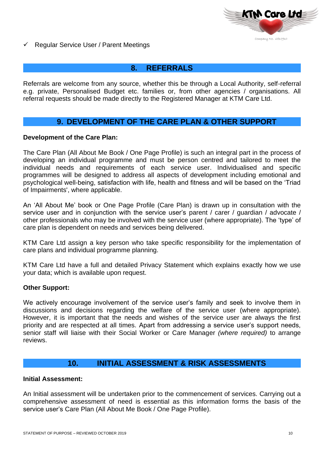

✓ Regular Service User / Parent Meetings

### **8. REFERRALS**

Referrals are welcome from any source, whether this be through a Local Authority, self-referral e.g. private, Personalised Budget etc. families or, from other agencies / organisations. All referral requests should be made directly to the Registered Manager at KTM Care Ltd.

# **9. DEVELOPMENT OF THE CARE PLAN & OTHER SUPPORT**

#### **Development of the Care Plan:**

The Care Plan (All About Me Book / One Page Profile) is such an integral part in the process of developing an individual programme and must be person centred and tailored to meet the individual needs and requirements of each service user. Individualised and specific programmes will be designed to address all aspects of development including emotional and psychological well-being, satisfaction with life, health and fitness and will be based on the 'Triad of Impairments', where applicable.

An 'All About Me' book or One Page Profile (Care Plan) is drawn up in consultation with the service user and in conjunction with the service user's parent / carer / quardian / advocate / other professionals who may be involved with the service user (where appropriate). The 'type' of care plan is dependent on needs and services being delivered.

KTM Care Ltd assign a key person who take specific responsibility for the implementation of care plans and individual programme planning.

KTM Care Ltd have a full and detailed Privacy Statement which explains exactly how we use your data; which is available upon request.

#### **Other Support:**

We actively encourage involvement of the service user's family and seek to involve them in discussions and decisions regarding the welfare of the service user (where appropriate). However, it is important that the needs and wishes of the service user are always the first priority and are respected at all times. Apart from addressing a service user's support needs, senior staff will liaise with their Social Worker or Care Manager *(where required)* to arrange reviews.

#### **10. INITIAL ASSESSMENT & RISK ASSESSMENTS**

#### **Initial Assessment:**

An Initial assessment will be undertaken prior to the commencement of services. Carrying out a comprehensive assessment of need is essential as this information forms the basis of the service user's Care Plan (All About Me Book / One Page Profile).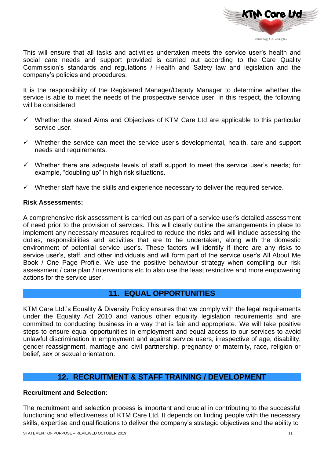

This will ensure that all tasks and activities undertaken meets the service user's health and social care needs and support provided is carried out according to the Care Quality Commission's standards and regulations / Health and Safety law and legislation and the company's policies and procedures.

It is the responsibility of the Registered Manager/Deputy Manager to determine whether the service is able to meet the needs of the prospective service user. In this respect, the following will be considered:

- $\checkmark$  Whether the stated Aims and Objectives of KTM Care Ltd are applicable to this particular service user.
- ✓ Whether the service can meet the service user's developmental, health, care and support needs and requirements.
- ✓ Whether there are adequate levels of staff support to meet the service user's needs; for example, "doubling up" in high risk situations.
- $\checkmark$  Whether staff have the skills and experience necessary to deliver the required service.

#### **Risk Assessments:**

A comprehensive risk assessment is carried out as part of a service user's detailed assessment of need prior to the provision of services. This will clearly outline the arrangements in place to implement any necessary measures required to reduce the risks and will include assessing the duties, responsibilities and activities that are to be undertaken, along with the domestic environment of potential service user's. These factors will identify if there are any risks to service user's, staff, and other individuals and will form part of the service user's All About Me Book / One Page Profile. We use the positive behaviour strategy when compiling our risk assessment / care plan / interventions etc to also use the least restrictive and more empowering actions for the service user.

### **11. EQUAL OPPORTUNITIES**

KTM Care Ltd.'s Equality & Diversity Policy ensures that we comply with the legal requirements under the Equality Act 2010 and various other equality legislation requirements and are committed to conducting business in a way that is fair and appropriate. We will take positive steps to ensure equal opportunities in employment and equal access to our services to avoid unlawful discrimination in employment and against service users, irrespective of age, disability, gender reassignment, marriage and civil partnership, pregnancy or maternity, race, religion or belief, sex or sexual orientation.

# **12. RECRUITMENT & STAFF TRAINING / DEVELOPMENT**

#### **Recruitment and Selection:**

The recruitment and selection process is important and crucial in contributing to the successful functioning and effectiveness of KTM Care Ltd. It depends on finding people with the necessary skills, expertise and qualifications to deliver the company's strategic objectives and the ability to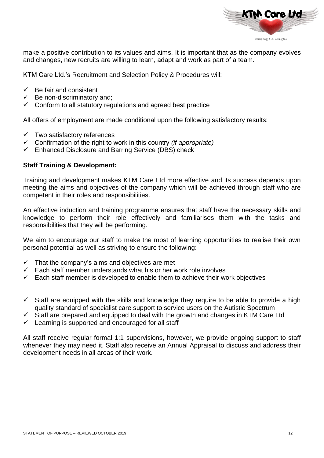

make a positive contribution to its values and aims. It is important that as the company evolves and changes, new recruits are willing to learn, adapt and work as part of a team.

KTM Care Ltd.'s Recruitment and Selection Policy & Procedures will:

- $\checkmark$  Be fair and consistent
- $\checkmark$  Be non-discriminatory and;
- $\checkmark$  Conform to all statutory regulations and agreed best practice

All offers of employment are made conditional upon the following satisfactory results:

- $\checkmark$  Two satisfactory references
- ✓ Confirmation of the right to work in this country *(if appropriate)*
- ✓ Enhanced Disclosure and Barring Service (DBS) check

#### **Staff Training & Development:**

Training and development makes KTM Care Ltd more effective and its success depends upon meeting the aims and objectives of the company which will be achieved through staff who are competent in their roles and responsibilities.

An effective induction and training programme ensures that staff have the necessary skills and knowledge to perform their role effectively and familiarises them with the tasks and responsibilities that they will be performing.

We aim to encourage our staff to make the most of learning opportunities to realise their own personal potential as well as striving to ensure the following:

- $\checkmark$  That the company's aims and objectives are met
- $\checkmark$  Each staff member understands what his or her work role involves
- $\checkmark$  Each staff member is developed to enable them to achieve their work objectives
- $\checkmark$  Staff are equipped with the skills and knowledge they require to be able to provide a high quality standard of specialist care support to service users on the Autistic Spectrum
- $\checkmark$  Staff are prepared and equipped to deal with the growth and changes in KTM Care Ltd
- $\checkmark$  Learning is supported and encouraged for all staff

All staff receive regular formal 1:1 supervisions, however, we provide ongoing support to staff whenever they may need it. Staff also receive an Annual Appraisal to discuss and address their development needs in all areas of their work.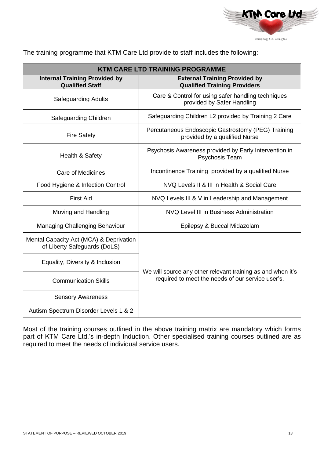

The training programme that KTM Care Ltd provide to staff includes the following:

| <b>KTM CARE LTD TRAINING PROGRAMME</b>                                  |                                                                                                                  |  |  |  |
|-------------------------------------------------------------------------|------------------------------------------------------------------------------------------------------------------|--|--|--|
| <b>Internal Training Provided by</b><br><b>Qualified Staff</b>          | <b>External Training Provided by</b><br><b>Qualified Training Providers</b>                                      |  |  |  |
| <b>Safeguarding Adults</b>                                              | Care & Control for using safer handling techniques<br>provided by Safer Handling                                 |  |  |  |
| Safeguarding Children                                                   | Safeguarding Children L2 provided by Training 2 Care                                                             |  |  |  |
| <b>Fire Safety</b>                                                      | Percutaneous Endoscopic Gastrostomy (PEG) Training<br>provided by a qualified Nurse                              |  |  |  |
| Health & Safety                                                         | Psychosis Awareness provided by Early Intervention in<br>Psychosis Team                                          |  |  |  |
| <b>Care of Medicines</b>                                                | Incontinence Training provided by a qualified Nurse                                                              |  |  |  |
| Food Hygiene & Infection Control                                        | NVQ Levels II & III in Health & Social Care                                                                      |  |  |  |
| <b>First Aid</b>                                                        | NVQ Levels III & V in Leadership and Management                                                                  |  |  |  |
| Moving and Handling                                                     | NVQ Level III in Business Administration                                                                         |  |  |  |
| Managing Challenging Behaviour                                          | Epilepsy & Buccal Midazolam                                                                                      |  |  |  |
| Mental Capacity Act (MCA) & Deprivation<br>of Liberty Safeguards (DoLS) |                                                                                                                  |  |  |  |
| Equality, Diversity & Inclusion                                         |                                                                                                                  |  |  |  |
| <b>Communication Skills</b>                                             | We will source any other relevant training as and when it's<br>required to meet the needs of our service user's. |  |  |  |
| <b>Sensory Awareness</b>                                                |                                                                                                                  |  |  |  |
| Autism Spectrum Disorder Levels 1 & 2                                   |                                                                                                                  |  |  |  |

Most of the training courses outlined in the above training matrix are mandatory which forms part of KTM Care Ltd.'s in-depth Induction. Other specialised training courses outlined are as required to meet the needs of individual service users.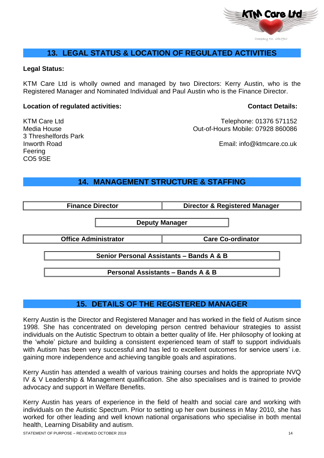

# **13. LEGAL STATUS & LOCATION OF REGULATED ACTIVITIES**

#### **Legal Status:**

KTM Care Ltd is wholly owned and managed by two Directors: Kerry Austin, who is the Registered Manager and Nominated Individual and Paul Austin who is the Finance Director.

#### **Location of regulated activities:** Contact Details:

3 Threshelfords Park Feering CO5 9SE

KTM Care Ltd **Telephone: 01376 571152** Media House Out-of-Hours Mobile: 07928 860086

Inworth Road Email: info@ktmcare.co.uk

# **14. MANAGEMENT STRUCTURE & STAFFING**

| <b>Finance Director</b>                      | <b>Director &amp; Registered Manager</b> |  |
|----------------------------------------------|------------------------------------------|--|
|                                              | <b>Deputy Manager</b>                    |  |
| <b>Office Administrator</b>                  | <b>Care Co-ordinator</b>                 |  |
| Senior Personal Assistants - Bands A & B     |                                          |  |
| <b>Personal Assistants - Bands A &amp; B</b> |                                          |  |

# **15. DETAILS OF THE REGISTERED MANAGER**

Kerry Austin is the Director and Registered Manager and has worked in the field of Autism since 1998. She has concentrated on developing person centred behaviour strategies to assist individuals on the Autistic Spectrum to obtain a better quality of life. Her philosophy of looking at the 'whole' picture and building a consistent experienced team of staff to support individuals with Autism has been very successful and has led to excellent outcomes for service users' i.e. gaining more independence and achieving tangible goals and aspirations.

Kerry Austin has attended a wealth of various training courses and holds the appropriate NVQ IV & V Leadership & Management qualification. She also specialises and is trained to provide advocacy and support in Welfare Benefits.

Kerry Austin has years of experience in the field of health and social care and working with individuals on the Autistic Spectrum. Prior to setting up her own business in May 2010, she has worked for other leading and well known national organisations who specialise in both mental health, Learning Disability and autism.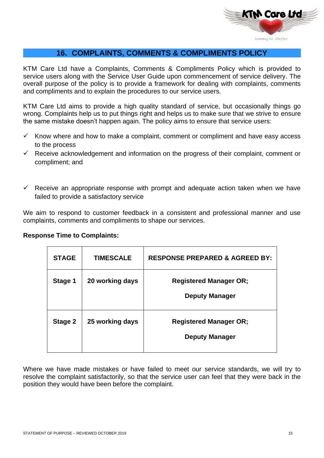

# **16. COMPLAINTS, COMMENTS & COMPLIMENTS POLICY**

KTM Care Ltd have a Complaints, Comments & Compliments Policy which is provided to service users along with the Service User Guide upon commencement of service delivery. The overall purpose of the policy is to provide a framework for dealing with complaints, comments and compliments and to explain the procedures to our service users.

KTM Care Ltd aims to provide a high quality standard of service, but occasionally things go wrong. Complaints help us to put things right and helps us to make sure that we strive to ensure the same mistake doesn't happen again. The policy aims to ensure that service users:

- $\checkmark$  Know where and how to make a complaint, comment or compliment and have easy access to the process
- $\checkmark$  Receive acknowledgement and information on the progress of their complaint, comment or compliment; and
- $\checkmark$  Receive an appropriate response with prompt and adequate action taken when we have failed to provide a satisfactory service

We aim to respond to customer feedback in a consistent and professional manner and use complaints, comments and compliments to shape our services.

|  |  | <b>Response Time to Complaints:</b> |
|--|--|-------------------------------------|
|--|--|-------------------------------------|

| <b>STAGE</b> | <b>TIMESCALE</b> | <b>RESPONSE PREPARED &amp; AGREED BY:</b>              |
|--------------|------------------|--------------------------------------------------------|
| Stage 1      | 20 working days  | <b>Registered Manager OR;</b><br><b>Deputy Manager</b> |
| Stage 2      | 25 working days  | <b>Registered Manager OR;</b><br><b>Deputy Manager</b> |

Where we have made mistakes or have failed to meet our service standards, we will try to resolve the complaint satisfactorily, so that the service user can feel that they were back in the position they would have been before the complaint.